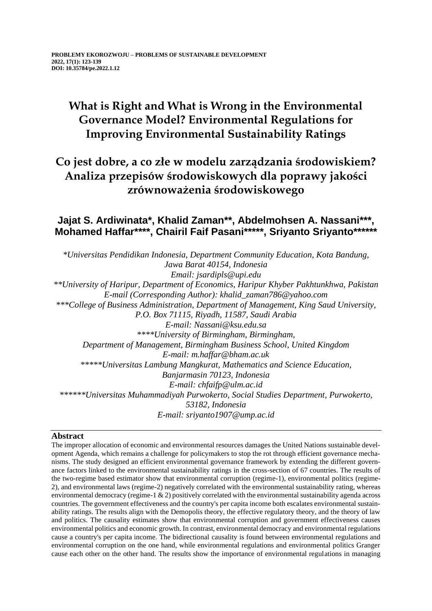# **What is Right and What is Wrong in the Environmental Governance Model? Environmental Regulations for Improving Environmental Sustainability Ratings**

## **Co jest dobre, a co złe w modelu zarządzania środowiskiem? Analiza przepisów środowiskowych dla poprawy jakości zrównoważenia środowiskowego**

## **Jajat S. Ardiwinata\*, Khalid Zaman\*\*, Abdelmohsen A. Nassani\*\*\*, Mohamed Haffar\*\*\*\*, Chairil Faif Pasani\*\*\*\*\*, Sriyanto Sriyanto\*\*\*\*\*\***

*\*Universitas Pendidikan Indonesia, Department Community Education, Kota Bandung, Jawa Barat 40154, Indonesia Email: jsardipls@upi.edu \*\*University of Haripur, Department of Economics, Haripur Khyber Pakhtunkhwa, Pakistan E-mail (Corresponding Author): khalid\_zaman786@yahoo.com \*\*\*College of Business Administration, Department of Management, King Saud University, P.O. Box 71115, Riyadh, 11587, Saudi Arabia E-mail: Nassani@ksu.edu.sa \*\*\*\*University of Birmingham, Birmingham, Department of Management, Birmingham Business School, United Kingdom E-mail: m.haffar@bham.ac.uk \*\*\*\*\*Universitas Lambung Mangkurat, Mathematics and Science Education, Banjarmasin 70123, Indonesia E-mail: chfaifp@ulm.ac.id \*\*\*\*\*\*Universitas Muhammadiyah Purwokerto, Social Studies Department, Purwokerto, 53182, Indonesia E-mail: sriyanto1907@ump.ac.id*

### **Abstract**

The improper allocation of economic and environmental resources damages the United Nations sustainable development Agenda, which remains a challenge for policymakers to stop the rot through efficient governance mechanisms. The study designed an efficient environmental governance framework by extending the different governance factors linked to the environmental sustainability ratings in the cross-section of 67 countries. The results of the two-regime based estimator show that environmental corruption (regime-1), environmental politics (regime-2), and environmental laws (regime-2) negatively correlated with the environmental sustainability rating, whereas environmental democracy (regime-1 & 2) positively correlated with the environmental sustainability agenda across countries. The government effectiveness and the country's per capita income both escalates environmental sustainability ratings. The results align with the Demopolis theory, the effective regulatory theory, and the theory of law and politics. The causality estimates show that environmental corruption and government effectiveness causes environmental politics and economic growth. In contrast, environmental democracy and environmental regulations cause a country's per capita income. The bidirectional causality is found between environmental regulations and environmental corruption on the one hand, while environmental regulations and environmental politics Granger cause each other on the other hand. The results show the importance of environmental regulations in managing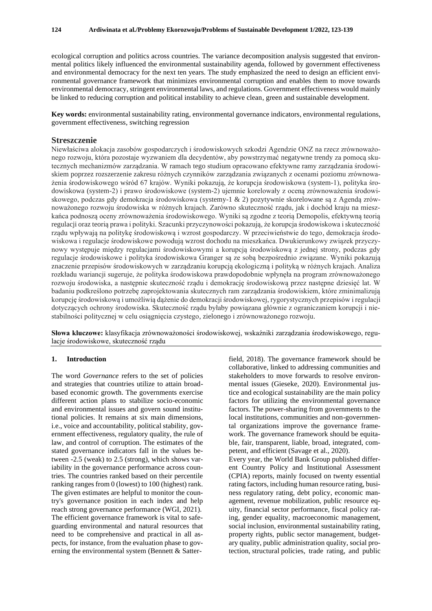ecological corruption and politics across countries. The variance decomposition analysis suggested that environmental politics likely influenced the environmental sustainability agenda, followed by government effectiveness and environmental democracy for the next ten years. The study emphasized the need to design an efficient environmental governance framework that minimizes environmental corruption and enables them to move towards environmental democracy, stringent environmental laws, and regulations. Government effectiveness would mainly be linked to reducing corruption and political instability to achieve clean, green and sustainable development.

**Key words:** environmental sustainability rating, environmental governance indicators, environmental regulations, government effectiveness, switching regression

#### **Streszczenie**

Niewłaściwa alokacja zasobów gospodarczych i środowiskowych szkodzi Agendzie ONZ na rzecz zrównoważonego rozwoju, która pozostaje wyzwaniem dla decydentów, aby powstrzymać negatywne trendy za pomocą skutecznych mechanizmów zarządzania. W ramach tego studium opracowano efektywne ramy zarządzania środowiskiem poprzez rozszerzenie zakresu różnych czynników zarządzania związanych z ocenami poziomu zrównoważenia środowiskowego wśród 67 krajów. Wyniki pokazują, że korupcja środowiskowa (system-1), polityka środowiskowa (system-2) i prawo środowiskowe (system-2) ujemnie korelowały z oceną zrównoważenia środowiskowego, podczas gdy demokracja środowiskowa (systemy-1 & 2) pozytywnie skorelowane są z Agendą zrównoważonego rozwoju środowiska w różnych krajach. Zarówno skuteczność rządu, jak i dochód kraju na mieszkańca podnoszą oceny zrównoważenia środowiskowego. Wyniki są zgodne z teorią Demopolis, efektywną teorią regulacji oraz teorią prawa i polityki. Szacunki przyczynowości pokazują, że korupcja środowiskowa i skuteczność rządu wpływają na politykę środowiskową i wzrost gospodarczy. W przeciwieństwie do tego, demokracja środowiskowa i regulacje środowiskowe powodują wzrost dochodu na mieszkańca. Dwukierunkowy związek przyczynowy występuje między regulacjami środowiskowymi a korupcją środowiskową z jednej strony, podczas gdy regulacje środowiskowe i polityka środowiskowa Granger są ze sobą bezpośrednio związane. Wyniki pokazują znaczenie przepisów środowiskowych w zarządzaniu korupcją ekologiczną i polityką w różnych krajach. Analiza rozkładu wariancji sugeruje, że polityka środowiskowa prawdopodobnie wpłynęła na program zrównoważonego rozwoju środowiska, a nastepnie skuteczność rządu i demokracje środowiskową przez następne dziesieć lat. W badaniu podkreślono potrzebę zaprojektowania skutecznych ram zarządzania środowiskiem, które zminimalizują korupcję środowiskową i umożliwią dążenie do demokracji środowiskowej, rygorystycznych przepisów i regulacji dotyczących ochrony środowiska. Skuteczność rządu byłaby powiązana głównie z ograniczaniem korupcji i niestabilności politycznej w celu osiągnięcia czystego, zielonego i zrównoważonego rozwoju.

**Słowa kluczowe:** klasyfikacja zrównoważoności środowiskowej, wskaźniki zarządzania środowiskowego, regulacje środowiskowe, skuteczność rządu

#### **1. Introduction**

The word *Governance* refers to the set of policies and strategies that countries utilize to attain broadbased economic growth. The governments exercise different action plans to stabilize socio-economic and environmental issues and govern sound institutional policies. It remains at six main dimensions, i.e., voice and accountability, political stability, government effectiveness, regulatory quality, the rule of law, and control of corruption. The estimates of the stated governance indicators fall in the values between -2.5 (weak) to 2.5 (strong), which shows variability in the governance performance across countries. The countries ranked based on their percentile ranking ranges from 0 (lowest) to 100 (highest) rank. The given estimates are helpful to monitor the country's governance position in each index and help reach strong governance performance (WGI, 2021). The efficient governance framework is vital to safeguarding environmental and natural resources that need to be comprehensive and practical in all aspects, for instance, from the evaluation phase to governing the environmental system (Bennett & Satter-

field, 2018). The governance framework should be collaborative, linked to addressing communities and stakeholders to move forwards to resolve environmental issues (Gieseke, 2020). Environmental justice and ecological sustainability are the main policy factors for utilizing the environmental governance factors. The power-sharing from governments to the local institutions, communities and non-governmental organizations improve the governance framework. The governance framework should be equitable, fair, transparent, liable, broad, integrated, competent, and efficient (Savage et al., 2020). Every year, the World Bank Group published different Country Policy and Institutional Assessment (CPIA) reports, mainly focused on twenty essential rating factors, including human resource rating, business regulatory rating, debt policy, economic management, revenue mobilization, public resource equity, financial sector performance, fiscal policy rating, gender equality, macroeconomic management, social inclusion, environmental sustainability rating, property rights, public sector management, budgetary quality, public administration quality, social protection, structural policies, trade rating, and public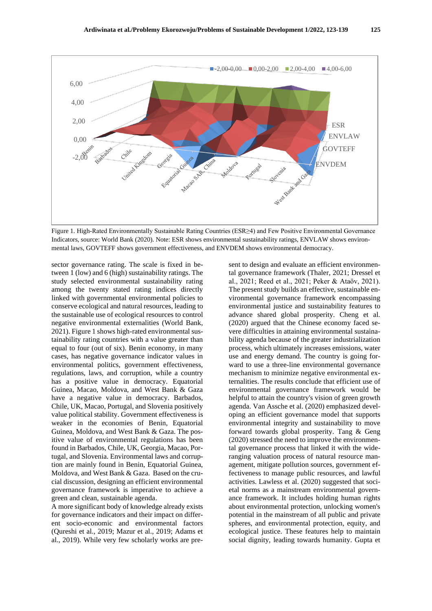

Figure 1. High-Rated Environmentally Sustainable Rating Countries (ESR≥4) and Few Positive Environmental Governance Indicators, source: World Bank (2020). Note: ESR shows environmental sustainability ratings, ENVLAW shows environmental laws, GOVTEFF shows government effectiveness, and ENVDEM shows environmental democracy.

sector governance rating. The scale is fixed in between 1 (low) and 6 (high) sustainability ratings. The study selected environmental sustainability rating among the twenty stated rating indices directly linked with governmental environmental policies to conserve ecological and natural resources, leading to the sustainable use of ecological resources to control negative environmental externalities (World Bank, 2021). Figure 1 shows high-rated environmental sustainability rating countries with a value greater than equal to four (out of six). Benin economy, in many cases, has negative governance indicator values in environmental politics, government effectiveness, regulations, laws, and corruption, while a country has a positive value in democracy. Equatorial Guinea, Macao, Moldova, and West Bank & Gaza have a negative value in democracy. Barbados, Chile, UK, Macao, Portugal, and Slovenia positively value political stability. Government effectiveness is weaker in the economies of Benin, Equatorial Guinea, Moldova, and West Bank & Gaza. The positive value of environmental regulations has been found in Barbados, Chile, UK, Georgia, Macao, Portugal, and Slovenia. Environmental laws and corruption are mainly found in Benin, Equatorial Guinea, Moldova, and West Bank & Gaza. Based on the crucial discussion, designing an efficient environmental governance framework is imperative to achieve a green and clean, sustainable agenda.

A more significant body of knowledge already exists for governance indicators and their impact on different socio-economic and environmental factors (Qureshi et al., 2019; Mazur et al., 2019; Adams et al., 2019). While very few scholarly works are pre-

sent to design and evaluate an efficient environmental governance framework (Thaler, 2021; Dressel et al., 2021; Reed et al., 2021; Peker & Ataöv, 2021). The present study builds an effective, sustainable environmental governance framework encompassing environmental justice and sustainability features to advance shared global prosperity. Cheng et al. (2020) argued that the Chinese economy faced severe difficulties in attaining environmental sustainability agenda because of the greater industrialization process, which ultimately increases emissions, water use and energy demand. The country is going forward to use a three-line environmental governance mechanism to minimize negative environmental externalities. The results conclude that efficient use of environmental governance framework would be helpful to attain the country's vision of green growth agenda. Van Assche et al. (2020) emphasized developing an efficient governance model that supports environmental integrity and sustainability to move forward towards global prosperity. Tang & Geng (2020) stressed the need to improve the environmental governance process that linked it with the wideranging valuation process of natural resource management, mitigate pollution sources, government effectiveness to manage public resources, and lawful activities. Lawless et al. (2020) suggested that societal norms as a mainstream environmental governance framework. It includes holding human rights about environmental protection, unlocking women's potential in the mainstream of all public and private spheres, and environmental protection, equity, and ecological justice. These features help to maintain social dignity, leading towards humanity. Gupta et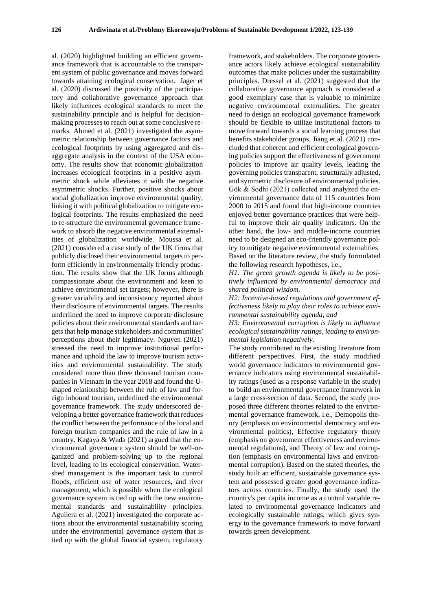al. (2020) highlighted building an efficient governance framework that is accountable to the transparent system of public governance and moves forward towards attaining ecological conservation. Jager et al. (2020) discussed the positivity of the participatory and collaborative governance approach that likely influences ecological standards to meet the sustainability principle and is helpful for decisionmaking processes to reach out at some conclusive remarks. Ahmed et al. (2021) investigated the asymmetric relationship between governance factors and ecological footprints by using aggregated and disaggregate analysis in the context of the USA economy. The results show that economic globalization increases ecological footprints in a positive asymmetric shock while alleviates it with the negative asymmetric shocks. Further, positive shocks about social globalization improve environmental quality, linking it with political globalization to mitigate ecological footprints. The results emphasized the need to re-structure the environmental governance framework to absorb the negative environmental externalities of globalization worldwide. Moussa et al. (2021) considered a case study of the UK firms that publicly disclosed their environmental targets to perform efficiently in environmentally friendly production. The results show that the UK forms although compassionate about the environment and keen to achieve environmental set targets; however, there is greater variability and inconsistency reported about their disclosure of environmental targets. The results underlined the need to improve corporate disclosure policies about their environmental standards and targets that help manage stakeholders and communities' perceptions about their legitimacy. Nguyen (2021) stressed the need to improve institutional performance and uphold the law to improve tourism activities and environmental sustainability. The study considered more than three thousand tourism companies in Vietnam in the year 2018 and found the Ushaped relationship between the rule of law and foreign inbound tourism, underlined the environmental governance framework. The study underscored developing a better governance framework that reduces the conflict between the performance of the local and foreign tourism companies and the rule of law in a country. Kagaya & Wada (2021) argued that the environmental governance system should be well-organized and problem-solving up to the regional level, leading to its ecological conservation. Watershed management is the important task to control floods, efficient use of water resources, and river management, which is possible when the ecological governance system is tied up with the new environmental standards and sustainability principles. Aguilera et al. (2021) investigated the corporate actions about the environmental sustainability scoring under the environmental governance system that is tied up with the global financial system, regulatory

framework, and stakeholders. The corporate governance actors likely achieve ecological sustainability outcomes that make policies under the sustainability principles. Dressel et al. (2021) suggested that the collaborative governance approach is considered a good exemplary case that is valuable to minimize negative environmental externalities. The greater need to design an ecological governance framework should be flexible to utilize institutional factors to move forward towards a social learning process that benefits stakeholder groups. Jiang et al. (2021) concluded that coherent and efficient ecological governing policies support the effectiveness of government policies to improve air quality levels, leading the governing policies transparent, structurally adjusted, and symmetric disclosure of environmental policies. Gök & Sodhi (2021) collected and analyzed the environmental governance data of 115 countries from 2000 to 2015 and found that high-income countries enjoyed better governance practices that were helpful to improve their air quality indicators. On the other hand, the low- and middle-income countries need to be designed an eco-friendly governance policy to mitigate negative environmental externalities Based on the literature review, the study formulated the following research hypotheses, i.e.,

*H1: The green growth agenda is likely to be positively influenced by environmental democracy and shared political wisdom.*

*H2: Incentive-based regulations and government effectiveness likely to play their roles to achieve environmental sustainability agenda, and* 

*H3: Environmental corruption is likely to influence ecological sustainability ratings, leading to environmental legislation negatively.* 

The study contributed to the existing literature from different perspectives. First, the study modified world governance indicators to environmental governance indicators using environmental sustainability ratings (used as a response variable in the study) to build an environmental governance framework in a large cross-section of data. Second, the study proposed three different theories related to the environmental governance framework, i.e., Demopolis theory (emphasis on environmental democracy and environmental politics), Effective regulatory theory (emphasis on government effectiveness and environmental regulations), and Theory of law and corruption (emphasis on environmental laws and environmental corruption). Based on the stated theories, the study built an efficient, sustainable governance system and possessed greater good governance indicators across countries. Finally, the study used the country's per capita income as a control variable related to environmental governance indicators and ecologically sustainable ratings, which gives synergy to the governance framework to move forward towards green development.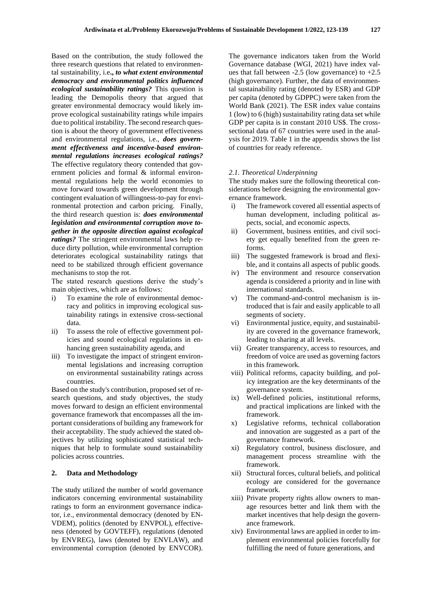Based on the contribution, the study followed the three research questions that related to environmental sustainability, i.e**.,** *to what extent environmental democracy and environmental politics influenced ecological sustainability ratings?* This question is leading the Demopolis theory that argued that greater environmental democracy would likely improve ecological sustainability ratings while impairs due to political instability. The second research question is about the theory of government effectiveness and environmental regulations, i.e., *does government effectiveness and incentive-based environmental regulations increases ecological ratings?* The effective regulatory theory contended that government policies and formal & informal environmental regulations help the world economies to move forward towards green development through contingent evaluation of willingness-to-pay for environmental protection and carbon pricing. Finally, the third research question is: *does environmental legislation and environmental corruption move together in the opposite direction against ecological ratings?* The stringent environmental laws help reduce dirty pollution, while environmental corruption deteriorates ecological sustainability ratings that need to be stabilized through efficient governance mechanisms to stop the rot.

The stated research questions derive the study's main objectives, which are as follows:

- i) To examine the role of environmental democracy and politics in improving ecological sustainability ratings in extensive cross-sectional data.
- ii) To assess the role of effective government policies and sound ecological regulations in enhancing green sustainability agenda, and
- iii) To investigate the impact of stringent environmental legislations and increasing corruption on environmental sustainability ratings across countries.

Based on the study's contribution, proposed set of research questions, and study objectives, the study moves forward to design an efficient environmental governance framework that encompasses all the important considerations of building any framework for their acceptability. The study achieved the stated objectives by utilizing sophisticated statistical techniques that help to formulate sound sustainability policies across countries.

#### **2. Data and Methodology**

The study utilized the number of world governance indicators concerning environmental sustainability ratings to form an environment governance indicator, i.e., environmental democracy (denoted by EN-VDEM), politics (denoted by ENVPOL), effectiveness (denoted by GOVTEFF), regulations (denoted by ENVREG), laws (denoted by ENVLAW), and environmental corruption (denoted by ENVCOR). The governance indicators taken from the World Governance database (WGI, 2021) have index values that fall between  $-2.5$  (low governance) to  $+2.5$ (high governance). Further, the data of environmental sustainability rating (denoted by ESR) and GDP per capita (denoted by GDPPC) were taken from the World Bank (2021). The ESR index value contains 1 (low) to 6 (high) sustainability rating data set while GDP per capita is in constant 2010 US\$. The crosssectional data of 67 countries were used in the analysis for 2019. Table 1 in the appendix shows the list of countries for ready reference.

#### *2.1. Theoretical Underpinning*

The study makes sure the following theoretical considerations before designing the environmental governance framework.

- i) The framework covered all essential aspects of human development, including political aspects, social, and economic aspects.
- ii) Government, business entities, and civil society get equally benefited from the green reforms.
- iii) The suggested framework is broad and flexible, and it contains all aspects of public goods.
- iv) The environment and resource conservation agenda is considered a priority and in line with international standards.
- v) The command-and-control mechanism is introduced that is fair and easily applicable to all segments of society.
- vi) Environmental justice, equity, and sustainability are covered in the governance framework, leading to sharing at all levels.
- vii) Greater transparency, access to resources, and freedom of voice are used as governing factors in this framework.
- viii) Political reforms, capacity building, and policy integration are the key determinants of the governance system.
- ix) Well-defined policies, institutional reforms, and practical implications are linked with the framework.
- x) Legislative reforms, technical collaboration and innovation are suggested as a part of the governance framework.
- xi) Regulatory control, business disclosure, and management process streamline with the framework.
- xii) Structural forces, cultural beliefs, and political ecology are considered for the governance framework.
- xiii) Private property rights allow owners to manage resources better and link them with the market incentives that help design the governance framework.
- xiv) Environmental laws are applied in order to implement environmental policies forcefully for fulfilling the need of future generations, and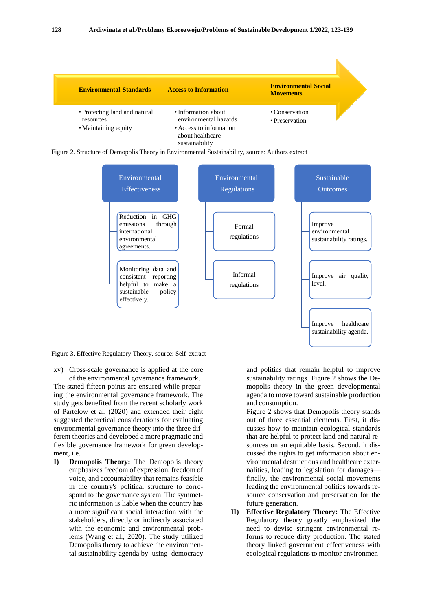





Figure 3. Effective Regulatory Theory, source: Self-extract

xv) Cross-scale governance is applied at the core of the environmental governance framework.

The stated fifteen points are ensured while preparing the environmental governance framework. The study gets benefited from the recent scholarly work of Partelow et al. (2020) and extended their eight suggested theoretical considerations for evaluating environmental governance theory into the three different theories and developed a more pragmatic and flexible governance framework for green development, i.e.

**I) Demopolis Theory:** The Demopolis theory emphasizes freedom of expression, freedom of voice, and accountability that remains feasible in the country's political structure to correspond to the governance system. The symmetric information is liable when the country has a more significant social interaction with the stakeholders, directly or indirectly associated with the economic and environmental problems (Wang et al., 2020). The study utilized Demopolis theory to achieve the environmental sustainability agenda by using democracy

and politics that remain helpful to improve sustainability ratings. Figure 2 shows the Demopolis theory in the green developmental agenda to move toward sustainable production and consumption.

Figure 2 shows that Demopolis theory stands out of three essential elements. First, it discusses how to maintain ecological standards that are helpful to protect land and natural resources on an equitable basis. Second, it discussed the rights to get information about environmental destructions and healthcare externalities, leading to legislation for damages finally, the environmental social movements leading the environmental politics towards resource conservation and preservation for the future generation.

**II) Effective Regulatory Theory:** The Effective Regulatory theory greatly emphasized the need to devise stringent environmental reforms to reduce dirty production. The stated theory linked government effectiveness with ecological regulations to monitor environmen-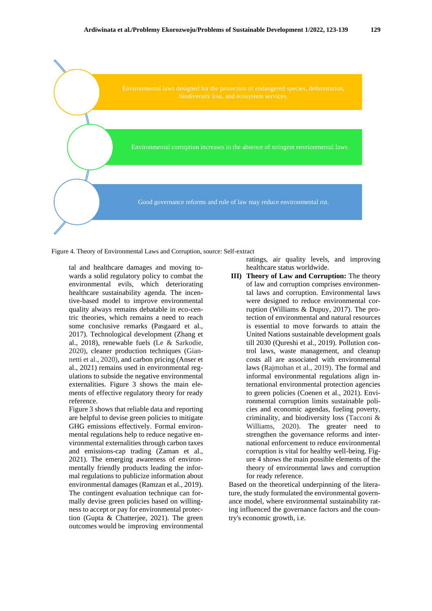

Figure 4. Theory of Environmental Laws and Corruption, source: Self-extract

tal and healthcare damages and moving towards a solid regulatory policy to combat the environmental evils, which deteriorating healthcare sustainability agenda. The incentive-based model to improve environmental quality always remains debatable in eco-centric theories, which remains a need to reach some conclusive remarks (Pasgaard et al., 2017). Technological development (Zhang et al., 2018), renewable fuels (Le & Sarkodie, 2020), cleaner production techniques (Giannetti et al., 2020), and carbon pricing (Anser et al., 2021) remains used in environmental regulations to subside the negative environmental externalities. Figure 3 shows the main elements of effective regulatory theory for ready reference.

Figure 3 shows that reliable data and reporting are helpful to devise green policies to mitigate GHG emissions effectively. Formal environmental regulations help to reduce negative environmental externalities through carbon taxes and emissions-cap trading (Zaman et al., 2021). The emerging awareness of environmentally friendly products leading the informal regulations to publicize information about environmental damages (Ramzan et al., 2019). The contingent evaluation technique can formally devise green policies based on willingness to accept or pay for environmental protection (Gupta & Chatterjee, 2021). The green outcomes would be improving environmental

ratings, air quality levels, and improving healthcare status worldwide.

**III) Theory of Law and Corruption:** The theory of law and corruption comprises environmental laws and corruption. Environmental laws were designed to reduce environmental corruption (Williams & Dupuy, 2017). The protection of environmental and natural resources is essential to move forwards to attain the United Nations sustainable development goals till 2030 (Qureshi et al., 2019). Pollution control laws, waste management, and cleanup costs all are associated with environmental laws (Rajmohan et al., 2019). The formal and informal environmental regulations align international environmental protection agencies to green policies (Coenen et al., 2021). Environmental corruption limits sustainable policies and economic agendas, fueling poverty, criminality, and biodiversity loss (Tacconi & Williams, 2020). The greater need to strengthen the governance reforms and international enforcement to reduce environmental corruption is vital for healthy well-being. Figure 4 shows the main possible elements of the theory of environmental laws and corruption for ready reference.

Based on the theoretical underpinning of the literature, the study formulated the environmental governance model, where environmental sustainability rating influenced the governance factors and the country's economic growth, i.e.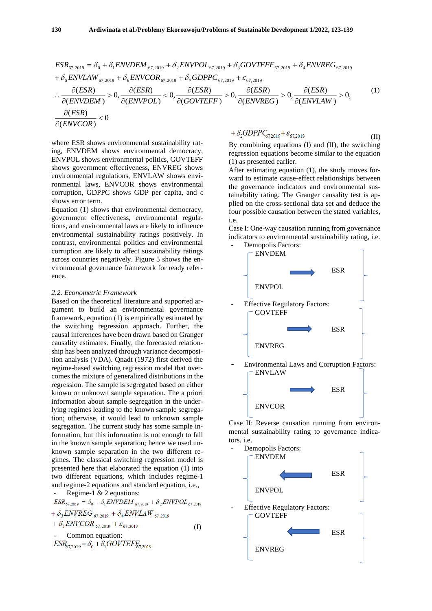$$
ESR_{67,2019} = \delta_0 + \delta_1 ENVDEM_{67,2019} + \delta_2 ENVPOL_{67,2019} + \delta_3 GOVTEFF_{67,2019} + \delta_4 ENVREG_{67,2019} + \delta_5 ENVLAW_{67,2019} + \delta_6 ENVCOR_{67,2019} + \delta_7 GDPPC_{67,2019} + \varepsilon_{67,2019} \therefore \frac{\partial (ESR)}{\partial (ENVDEM)} > 0, \frac{\partial (ESR)}{\partial (ENVPOL)} < 0, \frac{\partial (ESR)}{\partial (GOVTEFF)} > 0, \frac{\partial (ESR)}{\partial (ENVREG)} > 0, \frac{\partial (ESR)}{\partial (ENVLAW)} > 0,
$$
\n(1)\n
$$
\frac{\partial (ESR)}{\partial (ENVCOR)} < 0
$$

where ESR shows environmental sustainability rating, ENVDEM shows environmental democracy, ENVPOL shows environmental politics, GOVTEFF shows government effectiveness, ENVREG shows environmental regulations, ENVLAW shows environmental laws, ENVCOR shows environmental corruption, GDPPC shows GDP per capita, and ε shows error term.

Equation (1) shows that environmental democracy, government effectiveness, environmental regulations, and environmental laws are likely to influence environmental sustainability ratings positively. In contrast, environmental politics and environmental corruption are likely to affect sustainability ratings across countries negatively. Figure 5 shows the environmental governance framework for ready reference.

#### *2.2. Econometric Framework*

Based on the theoretical literature and supported argument to build an environmental governance framework, equation (1) is empirically estimated by the switching regression approach. Further, the causal inferences have been drawn based on Granger causality estimates. Finally, the forecasted relationship has been analyzed through variance decomposition analysis (VDA). Qnadt (1972) first derived the regime-based switching regression model that overcomes the mixture of generalized distributions in the regression. The sample is segregated based on either known or unknown sample separation. The a priori information about sample segregation in the underlying regimes leading to the known sample segregation; otherwise, it would lead to unknown sample segregation. The current study has some sample information, but this information is not enough to fall in the known sample separation; hence we used unknown sample separation in the two different regimes. The classical switching regression model is presented here that elaborated the equation (1) into two different equations, which includes regime-1 and regime-2 equations and standard equation, i.e., Regime-1  $& 2$  equations:

$$
ESR_{67,2019} = \delta_0 + \delta_1 ENVDEM_{67,2019} + \delta_2 ENVPOL_{67,2019} + \delta_3 ENVREG_{67,2019} + \delta_4 ENVLAW_{67,2019} + \delta_5 ENVCOR_{67,2019} + \varepsilon_{67,2019}
$$
 (I)  
- Common equation:  

$$
ESR_{57,2019} = \delta_0 + \delta_1 GOVTEFE_{57,2019}
$$

$$
+\delta_2 GDPPC_{67,2019} + \varepsilon_{67,2019} \tag{II}
$$

By combining equations (I) and (II), the switching regression equations become similar to the equation (1) as presented earlier.

After estimating equation (1), the study moves forward to estimate cause-effect relationships between the governance indicators and environmental sustainability rating. The Granger causality test is applied on the cross-sectional data set and deduce the four possible causation between the stated variables, i.e.

Case I: One-way causation running from governance indicators to environmental sustainability rating, i.e. Demopolis Factors:



Case II: Reverse causation running from environmental sustainability rating to governance indicators, i.e.

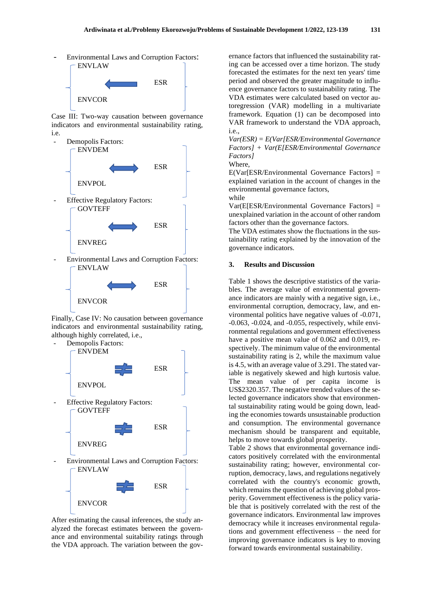Environmental Laws and Corruption Factors:



Case III: Two-way causation between governance indicators and environmental sustainability rating, i.e.



- Environmental Laws and Corruption Factors: ENVLAW



Finally, Case IV: No causation between governance indicators and environmental sustainability rating, although highly correlated, i.e.,



After estimating the causal inferences, the study analyzed the forecast estimates between the governance and environmental suitability ratings through the VDA approach. The variation between the gov-

ernance factors that influenced the sustainability rating can be accessed over a time horizon. The study forecasted the estimates for the next ten years' time period and observed the greater magnitude to influence governance factors to sustainability rating. The VDA estimates were calculated based on vector autoregression (VAR) modelling in a multivariate framework. Equation (1) can be decomposed into VAR framework to understand the VDA approach, i.e.,

*Var(ESR) = E(Var[ESR/Environmental Governance Factors] + Var(E[ESR/Environmental Governance Factors]* Where,

E(Var[ESR/Environmental Governance Factors] = explained variation in the account of changes in the environmental governance factors, while

Var(E[ESR/Environmental Governance Factors] = unexplained variation in the account of other random factors other than the governance factors.

The VDA estimates show the fluctuations in the sustainability rating explained by the innovation of the governance indicators.

### **3. Results and Discussion**

Table 1 shows the descriptive statistics of the variables. The average value of environmental governance indicators are mainly with a negative sign, i.e., environmental corruption, democracy, law, and environmental politics have negative values of -0.071, -0.063, -0.024, and -0.055, respectively, while environmental regulations and government effectiveness have a positive mean value of 0.062 and 0.019, respectively. The minimum value of the environmental sustainability rating is 2, while the maximum value is 4.5, with an average value of 3.291. The stated variable is negatively skewed and high kurtosis value. The mean value of per capita income is US\$2320.357. The negative trended values of the selected governance indicators show that environmental sustainability rating would be going down, leading the economies towards unsustainable production and consumption. The environmental governance mechanism should be transparent and equitable, helps to move towards global prosperity.

Table 2 shows that environmental governance indicators positively correlated with the environmental sustainability rating; however, environmental corruption, democracy, laws, and regulations negatively correlated with the country's economic growth, which remains the question of achieving global prosperity. Government effectiveness is the policy variable that is positively correlated with the rest of the governance indicators. Environmental law improves democracy while it increases environmental regulations and government effectiveness – the need for improving governance indicators is key to moving forward towards environmental sustainability.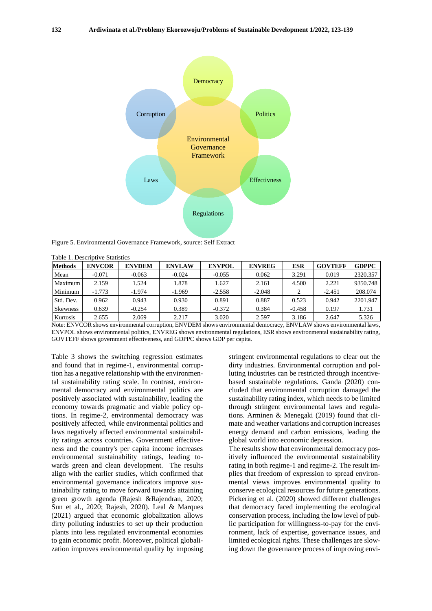

Figure 5. Environmental Governance Framework, source: Self Extract

| <b>Methods</b>  | <b>ENVCOR</b> | <b>ENVDEM</b> | <b>ENVLAW</b> | <b>ENVPOL</b> | <b>ENVREG</b> | ESR      | <b>GOVTEFF</b> | <b>GDPPC</b> |
|-----------------|---------------|---------------|---------------|---------------|---------------|----------|----------------|--------------|
| Mean            | $-0.071$      | $-0.063$      | $-0.024$      | $-0.055$      | 0.062         | 3.291    | 0.019          | 2320.357     |
| Maximum         | 2.159         | 1.524         | 1.878         | 1.627         | 2.161         | 4.500    | 2.221          | 9350.748     |
| Minimum         | $-1.773$      | $-1.974$      | $-1.969$      | $-2.558$      | $-2.048$      |          | $-2.451$       | 208.074      |
| Std. Dev.       | 0.962         | 0.943         | 0.930         | 0.891         | 0.887         | 0.523    | 0.942          | 2201.947     |
| <b>Skewness</b> | 0.639         | $-0.254$      | 0.389         | $-0.372$      | 0.384         | $-0.458$ | 0.197          | 1.731        |
| Kurtosis        | 2.655         | 2.069         | 2.217         | 3.020         | 2.597         | 3.186    | 2.647          | 5.326        |

Table 1. Descriptive Statistics

Note: ENVCOR shows environmental corruption, ENVDEM shows environmental democracy, ENVLAW shows environmental laws, ENVPOL shows environmental politics, ENVREG shows environmental regulations, ESR shows environmental sustainability rating, GOVTEFF shows government effectiveness, and GDPPC shows GDP per capita.

Table 3 shows the switching regression estimates and found that in regime-1, environmental corruption has a negative relationship with the environmental sustainability rating scale. In contrast, environmental democracy and environmental politics are positively associated with sustainability, leading the economy towards pragmatic and viable policy options. In regime-2, environmental democracy was positively affected, while environmental politics and laws negatively affected environmental sustainability ratings across countries. Government effectiveness and the country's per capita income increases environmental sustainability ratings, leading towards green and clean development. The results align with the earlier studies, which confirmed that environmental governance indicators improve sustainability rating to move forward towards attaining green growth agenda (Rajesh &Rajendran, 2020; Sun et al., 2020; Rajesh, 2020). Leal & Marques (2021) argued that economic globalization allows dirty polluting industries to set up their production plants into less regulated environmental economies to gain economic profit. Moreover, political globalization improves environmental quality by imposing stringent environmental regulations to clear out the dirty industries. Environmental corruption and polluting industries can be restricted through incentivebased sustainable regulations. Ganda (2020) concluded that environmental corruption damaged the sustainability rating index, which needs to be limited through stringent environmental laws and regulations. Arminen & Menegaki (2019) found that climate and weather variations and corruption increases energy demand and carbon emissions, leading the global world into economic depression.

The results show that environmental democracy positively influenced the environmental sustainability rating in both regime-1 and regime-2. The result implies that freedom of expression to spread environmental views improves environmental quality to conserve ecological resources for future generations. Pickering et al. (2020) showed different challenges that democracy faced implementing the ecological conservation process, including the low level of public participation for willingness-to-pay for the environment, lack of expertise, governance issues, and limited ecological rights. These challenges are slowing down the governance process of improving envi-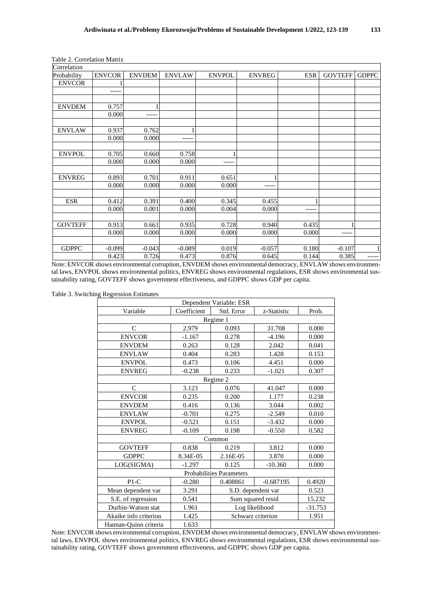| Correlation    |               |               |               |               |               |            |                |              |
|----------------|---------------|---------------|---------------|---------------|---------------|------------|----------------|--------------|
| Probability    | <b>ENVCOR</b> | <b>ENVDEM</b> | <b>ENVLAW</b> | <b>ENVPOL</b> | <b>ENVREG</b> | <b>ESR</b> | <b>GOVTEFF</b> | <b>GDPPC</b> |
| <b>ENVCOR</b>  |               |               |               |               |               |            |                |              |
|                | -----         |               |               |               |               |            |                |              |
|                |               |               |               |               |               |            |                |              |
| <b>ENVDEM</b>  | 0.757         |               |               |               |               |            |                |              |
|                | 0.000         | -----         |               |               |               |            |                |              |
|                |               |               |               |               |               |            |                |              |
| <b>ENVLAW</b>  | 0.937         | 0.762         |               |               |               |            |                |              |
|                | 0.000         | 0.000         | -----         |               |               |            |                |              |
|                |               |               |               |               |               |            |                |              |
| <b>ENVPOL</b>  | 0.705         | 0.660         | 0.758         |               |               |            |                |              |
|                | 0.000         | 0.000         | 0.000         | -----         |               |            |                |              |
|                |               |               |               |               |               |            |                |              |
| <b>ENVREG</b>  | 0.893         | 0.701         | 0.911         | 0.651         |               |            |                |              |
|                | 0.000         | 0.000         | 0.000         | 0.000         | -----         |            |                |              |
|                |               |               |               |               |               |            |                |              |
| <b>ESR</b>     | 0.412         | 0.391         | 0.400         | 0.345         | 0.455         |            |                |              |
|                | 0.000         | 0.001         | 0.000         | 0.004         | 0.000         | -----      |                |              |
|                |               |               |               |               |               |            |                |              |
| <b>GOVTEFF</b> | 0.913         | 0.661         | 0.935         | 0.728         | 0.940         | 0.435      |                |              |
|                | 0.000         | 0.000         | 0.000         | 0.000         | 0.000         | 0.000      | -----          |              |
|                |               |               |               |               |               |            |                |              |
| <b>GDPPC</b>   | $-0.099$      | $-0.043$      | $-0.089$      | 0.019         | $-0.057$      | 0.180      | $-0.107$       | $\mathbf{1}$ |
|                | 0.423         | 0.726         | 0.473         | 0.876         | 0.645         | 0.144      | 0.385          | -----        |

Table 2. Correlation Matrix

Note: ENVCOR shows environmental corruption, ENVDEM shows environmental democracy, ENVLAW shows environmental laws, ENVPOL shows environmental politics, ENVREG shows environmental regulations, ESR shows environmental sustainability rating, GOVTEFF shows government effectiveness, and GDPPC shows GDP per capita.

Table 3. Switching Regression Estimates

|                       |             | Dependent Variable: ESR         |                    |           |  |  |  |
|-----------------------|-------------|---------------------------------|--------------------|-----------|--|--|--|
| Variable              | Coefficient | Std. Error                      | z-Statistic        | Prob.     |  |  |  |
| Regime 1              |             |                                 |                    |           |  |  |  |
| $\mathsf{C}$          | 2.979       | 0.093                           | 31.708             | 0.000     |  |  |  |
| <b>ENVCOR</b>         | $-1.167$    | 0.278                           | $-4.196$           | 0.000     |  |  |  |
| <b>ENVDEM</b>         | 0.263       | 0.128                           | 2.042              | 0.041     |  |  |  |
| <b>ENVLAW</b>         | 0.404       | 0.283                           | 1.428              | 0.153     |  |  |  |
| <b>ENVPOL</b>         | 0.473       | 0.106                           | 4.451              | 0.000     |  |  |  |
| <b>ENVREG</b>         | $-0.238$    | 0.233                           | $-1.021$           | 0.307     |  |  |  |
|                       |             | Regime 2                        |                    |           |  |  |  |
| $\mathsf{C}$          | 3.123       | 0.076                           | 41.047             | 0.000     |  |  |  |
| <b>ENVCOR</b>         | 0.235       | 0.200                           | 1.177              | 0.238     |  |  |  |
| <b>ENVDEM</b>         | 0.416       | 0.136                           | 3.044              | 0.002     |  |  |  |
| <b>ENVLAW</b>         | $-0.701$    | 0.275                           | $-2.549$           | 0.010     |  |  |  |
| <b>ENVPOL</b>         | $-0.521$    | 0.151                           | $-3.432$           | 0.000     |  |  |  |
| <b>ENVREG</b>         | $-0.109$    | 0.198                           | $-0.550$           | 0.582     |  |  |  |
|                       |             | Common                          |                    |           |  |  |  |
| <b>GOVTEFF</b>        | 0.838       | 0.219                           | 3.812              | 0.000     |  |  |  |
| <b>GDPPC</b>          | 8.34E-05    | 2.16E-05                        | 3.870              | 0.000     |  |  |  |
| LOG(SIGMA)            | $-1.297$    | 0.125                           | $-10.360$          | 0.000     |  |  |  |
|                       |             | <b>Probabilities Parameters</b> |                    |           |  |  |  |
| $P1-C$                | $-0.280$    | 0.408861                        | $-0.687195$        | 0.4920    |  |  |  |
| Mean dependent var    | 3.291       |                                 | S.D. dependent var | 0.523     |  |  |  |
| S.E. of regression    | 0.541       |                                 | Sum squared resid  | 15.232    |  |  |  |
| Durbin-Watson stat    | 1.961       |                                 | Log likelihood     | $-31.753$ |  |  |  |
| Akaike info criterion | 1.425       |                                 | Schwarz criterion  | 1.951     |  |  |  |
| Hannan-Quinn criteria | 1.633       |                                 |                    |           |  |  |  |

Note: ENVCOR shows environmental corruption, ENVDEM shows environmental democracy, ENVLAW shows environmental laws, ENVPOL shows environmental politics, ENVREG shows environmental regulations, ESR shows environmental sustainability rating, GOVTEFF shows government effectiveness, and GDPPC shows GDP per capita.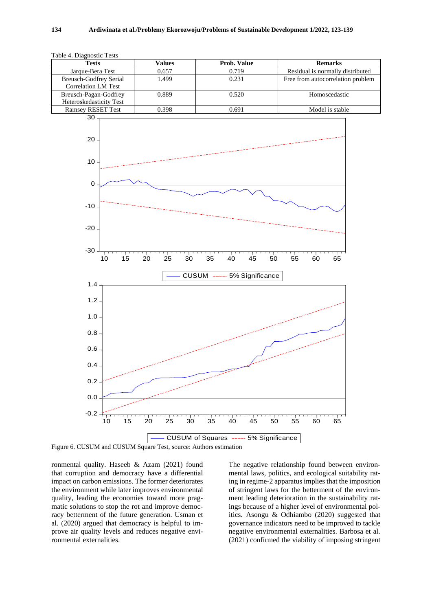| Table 4. Diagnostic Tests |  |
|---------------------------|--|
|---------------------------|--|

| <b>Tests</b>               | Values | <b>Prob. Value</b> | <b>Remarks</b>                    |
|----------------------------|--------|--------------------|-----------------------------------|
| Jarque-Bera Test           | 0.657  | 0.719              | Residual is normally distributed  |
| Breusch-Godfrey Serial     | 1.499  | 0.231              | Free from autocorrelation problem |
| <b>Correlation LM Test</b> |        |                    |                                   |
| Breusch-Pagan-Godfrey      | 0.889  | 0.520              | Homoscedastic                     |
| Heteroskedasticity Test    |        |                    |                                   |
| <b>Ramsey RESET Test</b>   | 0.398  | 0.691              | Model is stable                   |



Figure 6. CUSUM and CUSUM Square Test, source: Authors estimation

ronmental quality. Haseeb & Azam (2021) found that corruption and democracy have a differential impact on carbon emissions. The former deteriorates the environment while later improves environmental quality, leading the economies toward more pragmatic solutions to stop the rot and improve democracy betterment of the future generation. Usman et al. (2020) argued that democracy is helpful to improve air quality levels and reduces negative environmental externalities.

The negative relationship found between environmental laws, politics, and ecological suitability rating in regime-2 apparatus implies that the imposition of stringent laws for the betterment of the environment leading deterioration in the sustainability ratings because of a higher level of environmental politics. Asongu & Odhiambo (2020) suggested that governance indicators need to be improved to tackle negative environmental externalities. Barbosa et al. (2021) confirmed the viability of imposing stringent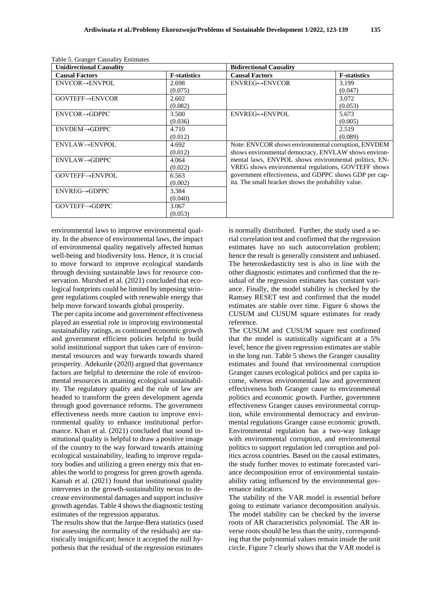| <b>Unidirectional Causality</b> |                     | <b>Bidirectional Causality</b>                         |                     |  |  |
|---------------------------------|---------------------|--------------------------------------------------------|---------------------|--|--|
| <b>Causal Factors</b>           | <b>F-statistics</b> | <b>Causal Factors</b>                                  | <b>F-statistics</b> |  |  |
| $ENVCOR \rightarrow ENVPOL$     | 2.698               | $ENVREG \leftrightarrow ENVCOR$                        | 3.199               |  |  |
|                                 | (0.075)             |                                                        | (0.047)             |  |  |
| GOVTEFF→ENVCOR                  | 2.602               |                                                        | 3.072               |  |  |
|                                 | (0.082)             |                                                        | (0.053)             |  |  |
| $ENVCOR \rightarrow GDPPC$      | 3.500               | ENVREG↔ENVPOL                                          | 5.673               |  |  |
|                                 | (0.036)             |                                                        | (0.005)             |  |  |
| $ENVDEM \rightarrow GDPPC$      | 4.710               |                                                        | 2.519               |  |  |
|                                 | (0.012)             |                                                        | (0.089)             |  |  |
| $ENVLAW \rightarrow ENVPOL$     | 4.692               | Note: ENVCOR shows environmental corruption, ENVDEM    |                     |  |  |
|                                 | (0.012)             | shows environmental democracy, ENVLAW shows environ-   |                     |  |  |
| $ENVLAW \rightarrow GDPPC$      | 4.064               | mental laws, ENVPOL shows environmental politics, EN-  |                     |  |  |
|                                 | (0.022)             | VREG shows environmental regulations, GOVTEFF shows    |                     |  |  |
| GOVTEFF→ENVPOL                  | 6.563               | government effectiveness, and GDPPC shows GDP per cap- |                     |  |  |
|                                 | (0.002)             | ita. The small bracket shows the probability value.    |                     |  |  |
| $ENVREG \rightarrow GDPPC$      | 3.384               |                                                        |                     |  |  |
|                                 | (0.040)             |                                                        |                     |  |  |
| GOVTEFF→GDPPC                   | 3.067               |                                                        |                     |  |  |
|                                 | (0.053)             |                                                        |                     |  |  |

a Table 5. Granger Causality Estimates

environmental laws to improve environmental quality. In the absence of environmental laws, the impact of environmental quality negatively affected human well-being and biodiversity loss. Hence, it is crucial to move forward to improve ecological standards through devising sustainable laws for resource conservation. Murshed et al. (2021) concluded that ecological footprints could be limited by imposing stringent regulations coupled with renewable energy that help move forward towards global prosperity.

The per capita income and government effectiveness played an essential role in improving environmental sustainability ratings, as continued economic growth and government efficient policies helpful to build solid institutional support that takes care of environmental resources and way forwards towards shared prosperity. Adekunle (2020) argued that governance factors are helpful to determine the role of environmental resources in attaining ecological sustainability. The regulatory quality and the rule of law are headed to transform the green development agenda through good governance reforms. The government effectiveness needs more caution to improve environmental quality to enhance institutional performance. Khan et al. (2021) concluded that sound institutional quality is helpful to draw a positive image of the country to the way forward towards attaining ecological sustainability, leading to improve regulatory bodies and utilizing a green energy mix that enables the world to progress for green growth agenda. Kamah et al. (2021) found that institutional quality intervenes in the growth-sustainability nexus to decrease environmental damages and support inclusive growth agendas. Table 4 shows the diagnostic testing estimates of the regression apparatus.

The results show that the Jarque-Bera statistics (used for assessing the normality of the residuals) are statistically insignificant; hence it accepted the null hypothesis that the residual of the regression estimates

is normally distributed. Further, the study used a serial correlation test and confirmed that the regression estimates have no such autocorrelation problem; hence the result is generally consistent and unbiased. The heteroskedasticity test is also in line with the other diagnostic estimates and confirmed that the residual of the regression estimates has constant variance. Finally, the model stability is checked by the Ramsey RESET test and confirmed that the model estimates are stable over time. Figure 6 shows the CUSUM and CUSUM square estimates for ready reference.

The CUSUM and CUSUM square test confirmed that the model is statistically significant at a 5% level; hence the given regression estimates are stable in the long run. Table 5 shows the Granger causality estimates and found that environmental corruption Granger causes ecological politics and per capita income, whereas environmental law and government effectiveness both Granger cause to environmental politics and economic growth. Further, government effectiveness Granger causes environmental corruption, while environmental democracy and environmental regulations Granger cause economic growth. Environmental regulation has a two-way linkage with environmental corruption, and environmental politics to support regulation led corruption and politics across countries. Based on the causal estimates, the study further moves to estimate forecasted variance decomposition error of environmental sustainability rating influenced by the environmental governance indicators.

The stability of the VAR model is essential before going to estimate variance decomposition analysis. The model stability can be checked by the inverse roots of AR characteristics polynomial. The AR inverse roots should be less than the unity, corresponding that the polynomial values remain inside the unit circle. Figure 7 clearly shows that the VAR model is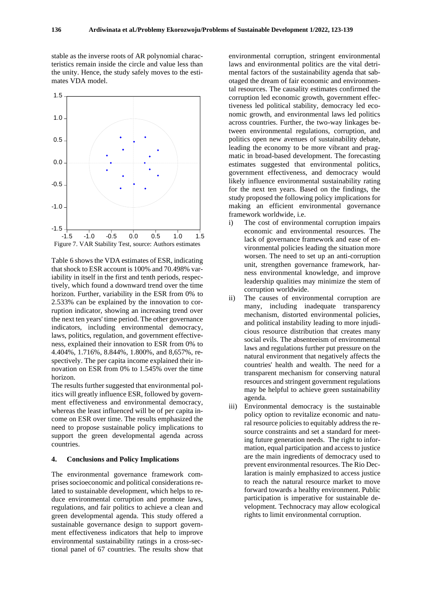stable as the inverse roots of AR polynomial characteristics remain inside the circle and value less than the unity. Hence, the study safely moves to the estimates VDA model.



Table 6 shows the VDA estimates of ESR, indicating that shock to ESR account is 100% and 70.498% variability in itself in the first and tenth periods, respectively, which found a downward trend over the time horizon. Further, variability in the ESR from 0% to 2.533% can be explained by the innovation to corruption indicator, showing an increasing trend over the next ten years' time period. The other governance indicators, including environmental democracy, laws, politics, regulation, and government effectiveness, explained their innovation to ESR from 0% to 4.404%, 1.716%, 8.844%, 1.800%, and 8,657%, respectively. The per capita income explained their innovation on ESR from 0% to 1.545% over the time horizon.

The results further suggested that environmental politics will greatly influence ESR, followed by government effectiveness and environmental democracy, whereas the least influenced will be of per capita income on ESR over time. The results emphasized the need to propose sustainable policy implications to support the green developmental agenda across countries.

#### **4. Conclusions and Policy Implications**

The environmental governance framework comprises socioeconomic and political considerations related to sustainable development, which helps to reduce environmental corruption and promote laws, regulations, and fair politics to achieve a clean and green developmental agenda. This study offered a sustainable governance design to support government effectiveness indicators that help to improve environmental sustainability ratings in a cross-sectional panel of 67 countries. The results show that

environmental corruption, stringent environmental laws and environmental politics are the vital detrimental factors of the sustainability agenda that sabotaged the dream of fair economic and environmental resources. The causality estimates confirmed the corruption led economic growth, government effectiveness led political stability, democracy led economic growth, and environmental laws led politics across countries. Further, the two-way linkages between environmental regulations, corruption, and politics open new avenues of sustainability debate, leading the economy to be more vibrant and pragmatic in broad-based development. The forecasting estimates suggested that environmental politics, government effectiveness, and democracy would likely influence environmental sustainability rating for the next ten years. Based on the findings, the study proposed the following policy implications for making an efficient environmental governance framework worldwide, i.e.

- i) The cost of environmental corruption impairs economic and environmental resources. The lack of governance framework and ease of environmental policies leading the situation more worsen. The need to set up an anti-corruption unit, strengthen governance framework, harness environmental knowledge, and improve leadership qualities may minimize the stem of corruption worldwide.
- ii) The causes of environmental corruption are many, including inadequate transparency mechanism, distorted environmental policies, and political instability leading to more injudicious resource distribution that creates many social evils. The absenteeism of environmental laws and regulations further put pressure on the natural environment that negatively affects the countries' health and wealth. The need for a transparent mechanism for conserving natural resources and stringent government regulations may be helpful to achieve green sustainability agenda.
- iii) Environmental democracy is the sustainable policy option to revitalize economic and natural resource policies to equitably address the resource constraints and set a standard for meeting future generation needs. The right to information, equal participation and access to justice are the main ingredients of democracy used to prevent environmental resources. The Rio Declaration is mainly emphasized to access justice to reach the natural resource market to move forward towards a healthy environment. Public participation is imperative for sustainable development. Technocracy may allow ecological rights to limit environmental corruption.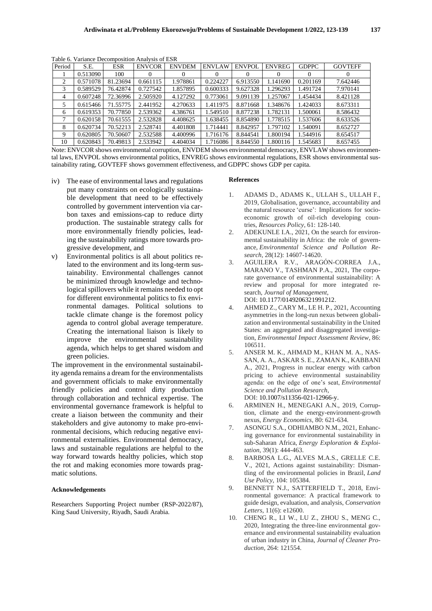| Period | S.E.     | <b>ESR</b> | <b>ENVCOR</b> | <b>ENVDEM</b> | <b>ENVLAW</b> | <b>ENVPOL</b> | <b>ENVREG</b> | <b>GDPPC</b> | <b>GOVTEFF</b> |
|--------|----------|------------|---------------|---------------|---------------|---------------|---------------|--------------|----------------|
|        | 0.513090 | 100        |               |               |               | $\theta$      |               | 0            |                |
| 2      | 0.571078 | 81.23694   | 0.661115      | 1.978861      | 0.224227      | 6.913550      | 1.141690      | 0.201169     | 7.642446       |
| 3      | 0.589529 | 76.42874   | 0.727542      | 1.857895      | 0.600333      | 9.627328      | 1.296293      | 1.491724     | 7.970141       |
| 4      | 0.607248 | 72.36996   | 2.505920      | 4.127292      | 0.773061      | 9.091139      | 1.257067      | 1.454434     | 8.421128       |
| 5      | 0.615466 | 71.55775   | 2.441952      | 4.270633      | 1.411975      | 8.871668      | 1.348676      | 1.424033     | 8.673311       |
| 6      | 0.619353 | 70.77850   | 2.539362      | 4.386761      | 1.549510      | 8.877238      | 1.782131      | 1.500061     | 8.586432       |
|        | 0.620158 | 70.61555   | 2.532828      | 4.408625      | 1.638455      | 8.854890      | 1.778515      | 1.537606     | 8.633526       |
| 8      | 0.620734 | 70.52213   | 2.528741      | 4.401808      | 1.714441      | 8.842957      | 1.797102      | 1.540091     | 8.652727       |
| 9      | 0.620805 | 70.50607   | 2.532588      | 4.400996      | 1.716176      | 8.844541      | 1.800194      | 1.544916     | 8.654517       |
| 10     | 0.620843 | 70.49813   | 2.533942      | 4.404034      | 1.716086      | 8.844550      | 1.800116      | 1.545683     | 8.657455       |

Table 6. Variance Decomposition Analysis of ESR

Note: ENVCOR shows environmental corruption, ENVDEM shows environmental democracy, ENVLAW shows environmental laws, ENVPOL shows environmental politics, ENVREG shows environmental regulations, ESR shows environmental sustainability rating, GOVTEFF shows government effectiveness, and GDPPC shows GDP per capita.

- iv) The ease of environmental laws and regulations put many constraints on ecologically sustainable development that need to be effectively controlled by government intervention via carbon taxes and emissions-cap to reduce dirty production. The sustainable strategy calls for more environmentally friendly policies, leading the sustainability ratings more towards progressive development, and
- v) Environmental politics is all about politics related to the environment and its long-term sustainability. Environmental challenges cannot be minimized through knowledge and technological spillovers while it remains needed to opt for different environmental politics to fix environmental damages. Political solutions to tackle climate change is the foremost policy agenda to control global average temperature. Creating the international liaison is likely to improve the environmental sustainability agenda, which helps to get shared wisdom and green policies.

The improvement in the environmental sustainability agenda remains a dream for the environmentalists and government officials to make environmentally friendly policies and control dirty production through collaboration and technical expertise. The environmental governance framework is helpful to create a liaison between the community and their stakeholders and give autonomy to make pro-environmental decisions, which reducing negative environmental externalities. Environmental democracy, laws and sustainable regulations are helpful to the way forward towards healthy policies, which stop the rot and making economies more towards pragmatic solutions.

#### **Acknowledgements**

Researchers Supporting Project number (RSP-2022/87), King Saud University, Riyadh, Saudi Arabia.

#### **References**

- 1. ADAMS D., ADAMS K., ULLAH S., ULLAH F., 2019, Globalisation, governance, accountability and the natural resource 'curse': Implications for socioeconomic growth of oil-rich developing countries, *Resources Policy*, 61: 128-140.
- 2. ADEKUNLE I.A., 2021, On the search for environmental sustainability in Africa: the role of governance, *Environmental Science and Pollution Research*, 28(12): 14607-14620.
- 3. AGUILERA R.V., ARAGÓN-CORREA J.A., MARANO V., TASHMAN P.A., 2021, The corporate governance of environmental sustainability: A review and proposal for more integrated research, *Journal of Management*, DOI: 10.1177/0149206321991212.
- 4. AHMED Z., CARY M., LE H. P., 2021, Accounting asymmetries in the long-run nexus between globalization and environmental sustainability in the United States: an aggregated and disaggregated investigation, *Environmental Impact Assessment Review*, 86: 106511.
- 5. ANSER M. K., AHMAD M., KHAN M. A., NAS-SAN, A. A., ASKAR S. E., ZAMAN K., KABBANI A., 2021, Progress in nuclear energy with carbon pricing to achieve environmental sustainability agenda: on the edge of one's seat, *Environmental Science and Pollution Research*, DOI: 10.1007/s11356-021-12966-y.
- 6. ARMINEN H., MENEGAKI A.N., 2019, Corruption, climate and the energy-environment-growth nexus, *Energy Economics*, 80: 621-634.
- 7. ASONGU S.A., ODHIAMBO N.M., 2021, Enhancing governance for environmental sustainability in sub-Saharan Africa, *Energy Exploration & Exploitation*, 39(1): 444-463.
- 8. BARBOSA L.G., ALVES M.A.S., GRELLE C.E. V., 2021, Actions against sustainability: Dismantling of the environmental policies in Brazil, *Land Use Policy*, 104: 105384.
- 9. BENNETT N.J., SATTERFIELD T., 2018, Environmental governance: A practical framework to guide design, evaluation, and analysis, *Conservation Letters,* 11(6): e12600.
- 10. CHENG R., LI W., LU Z., ZHOU S., MENG C., 2020, Integrating the three-line environmental governance and environmental sustainability evaluation of urban industry in China, *Journal of Cleaner Production*, 264: 121554.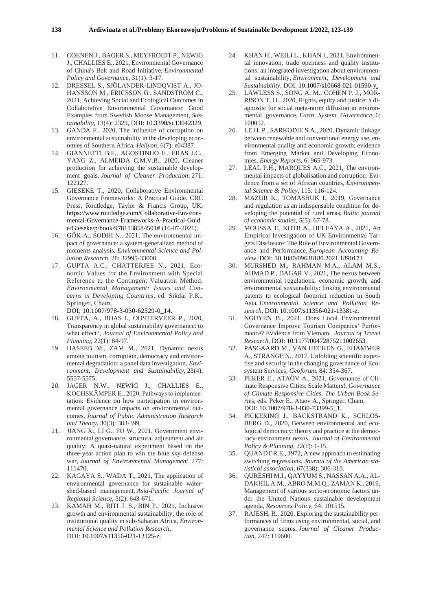- 11. COENEN J., BAGER S., MEYFROIDT P., NEWIG J., CHALLIES E., 2021, Environmental Governance of China's Belt and Road Initiative, *Environmental Policy and Governance*, 31(1): 3-17.
- 12. DRESSEL S., SJÖLANDER-LINDQVIST A., JO-HANSSON M., ERICSSON G., SANDSTRÖM C., 2021, Achieving Social and Ecological Outcomes in Collaborative Environmental Governance: Good Examples from Swedish Moose Management, *Sustainability*, 13(4): 2329, DOI: 10.3390/su13042329.
- 13. GANDA F., 2020, The influence of corruption on environmental sustainability in the developing economies of Southern Africa, *Heliyon*, 6(7): e04387.
- 14. GIANNETTI B.F., AGOSTINHO F., ERAS J.C., YANG Z., ALMEIDA C.M.V.B., 2020, Cleaner production for achieving the sustainable development goals, *Journal of Cleaner Production*, 271: 122127.
- 15. GIESEKE T., 2020, Collaborative Environmental Governance Frameworks: A Practical Guide. CRC Press, Routledge, Taylor & Francis Group, UK, https://www.routledge.com/Collaborative-Environmental-Governance-Frameworks-A-Practical-Guid e/Gieseke/p/book/9781138584501# (16-07-2021).
- 16. GÖK A., SODHI N., 2021, The environmental impact of governance: a system-generalized method of moments analysis, *Environmental Science and Pollution Research*, 28: 32995-33008.
- 17. GUPTA A.C., CHATTERJEE N., 2021, Economic Values for the Environment with Special Reference to the Contingent Valuation Method, *Environmental Management: Issues and Concerns in Developing Countries*, ed. Sikdar P.K., Springer, Cham,

DOI: 10.1007/978-3-030-62529-0\_14.

- 18. GUPTA, A., BOAS I., OOSTERVEER P., 2020, Transparency in global sustainability governance: to what effect?, *Journal of Environmental Policy and Planning,* 22(1): 84-97.
- 19. HASEEB M., ZAM M., 2021, Dynamic nexus among tourism, corruption, democracy and environmental degradation: a panel data investigation, *Environment, Development and Sustainability*, 23(4): 5557-5575.
- 20. JAGER N.W., NEWIG J., CHALLIES E., KOCHSKÄMPER E., 2020, Pathways to implementation: Evidence on how participation in environmental governance impacts on environmental outcomes, *Journal of Public Administration Research and Theory*, 30(3): 383-399.
- 21. JIANG X., LI G., FU W., 2021, Government environmental governance, structural adjustment and air quality: A quasi-natural experiment based on the three-year action plan to win the blue sky defense war, *Journal of Environmental Management*, 277: 111470.
- 22. KAGAYA S., WADA T., 2021, The application of environmental governance for sustainable watershed-based management, *Asia-Pacific Journal of Regional Science*, 5(2): 643-671.
- 23. KAMAH M., RITI J. S., BIN P., 2021, Inclusive growth and environmental sustainability: the role of institutional quality in sub-Saharan Africa, *Environmental Science and Pollution Research*, DOI: 10.1007/s11356-021-13125-z.
- 24. KHAN H., WEILI L., KHAN I., 2021, Environmental innovation, trade openness and quality institutions: an integrated investigation about environmental sustainability, *Environment, Development and Sustainability*, DOI: 10.1007/s10668-021-01590-y.
- 25. LAWLESS S., SONG A. M., COHEN P. J., MOR-RISON T. H., 2020, Rights, equity and justice: a diagnostic for social meta-norm diffusion in environmental governance, *Earth System Governance*, 6: 100052.
- 26. LE H. P., SARKODIE S.A., 2020, Dynamic linkage between renewable and conventional energy use, environmental quality and economic growth: evidence from Emerging Market and Developing Economies, *Energy Reports*, 6: 965-973.
- 27. LEAL P.H., MARQUES A.C., 2021, The environmental impacts of globalisation and corruption: Evidence from a set of African countries, *Environmental Science & Policy*, 115: 116-124.
- 28. MAZUR K., TOMASHUK I., 2019, Governance and regulation as an indispensable condition for developing the potential of rural areas, *Baltic journal of economic studies*, 5(5): 67-78.
- 29. MOUSSA T., KOTB A., HELFAYA A., 2021, An Empirical Investigation of UK Environmental Targets Disclosure: The Role of Environmental Governance and Performance, *European Accounting Review*, DOI: 10.1080/09638180.2021.1890173
- 30. MURSHED M., RAHMAN M.A., ALAM M.S., AHMAD P., DAGAR V., 2021, The nexus between environmental regulations, economic growth, and environmental sustainability: linking environmental patents to ecological footprint reduction in South Asia, *Environmental Science and Pollution Research*, DOI: 10.1007/s11356-021-13381-z.
- 31. NGUYEN B., 2021, Does Local Environmental Governance Improve Tourism Companies' Performance? Evidence from Vietnam, *Journal of Travel Research*, DOI: 10.1177/00472875211002653.
- 32. PASGAARD M., VAN HECKEN G., EHAMMER A., STRANGE N., 2017, Unfolding scientific expertise and security in the changing governance of Ecosystem Services, *Geoforum*, 84: 354-367.
- 33. PEKER E., ATAÖV A., 2021, Governance of Climate Responsive Cities: Scale Matters!, *Governance of Climate Responsive Cities. The Urban Book Serie*s, eds. Peker E., Ataöv A., Springer, Cham, DOI: 10.1007/978-3-030-73399-5\_1.
- 34. PICKERING J., BÄCKSTRAND K., SCHLOS-BERG D., 2020, Between environmental and ecological democracy: theory and practice at the democracy-environment nexus, *Journal of Environmental Policy & Planning,* 22(1): 1-15.
- 35. QUANDT R.E., 1972, A new approach to estimating switching regressions, *Journal of the American statistical association*, 67(338): 306-310.
- 36. QURESHI M.I., QAYYUM S., NASSAN A.A., AL-DAKHIL A.M., ABRO M.M.Q., ZAMAN K., 2019, Management of various socio-economic factors under the United Nations sustainable development agenda, *Resources Policy*, 64: 101515.
- 37. RAJESH, R., 2020, Exploring the sustainability performances of firms using environmental, social, and governance scores, *Journal of Cleaner Production*, 247: 119600.